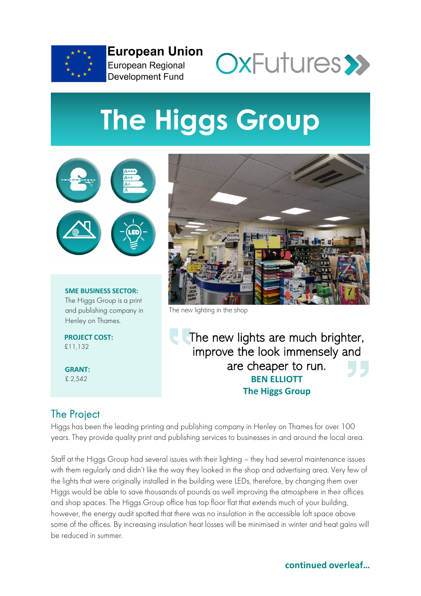

**European Union** European Regional **Development Fund** 



# **The Higgs Group**



**SME BUSINESS SECTOR:** The Higgs Group is a print and publishing company in Henley on Thames.

**PROJECT COST:** £11,132

**GRANT:** £ 2,542



The new lighting in the shop

The new lights are much brighter, improve the look immensely and are cheaper to run. **BEN ELLIOTT The Higgs Group**

## The Project

Higgs has been the leading printing and publishing company in Henley on Thames for over 100 years. They provide quality print and publishing services to businesses in and around the local area.

Staff at the Higgs Group had several issues with their lighting – they had several maintenance issues with them regularly and didn't like the way they looked in the shop and advertising area. Very few of the lights that were originally installed in the building were LEDs, therefore, by changing them over Higgs would be able to save thousands of pounds as well improving the atmosphere in their offices and shop spaces. The Higgs Group office has top floor flat that extends much of your building, however, the energy audit spotted that there was no insulation in the accessible loft space above some of the offices. By increasing insulation heat losses will be minimised in winter and heat gains will be reduced in summer.